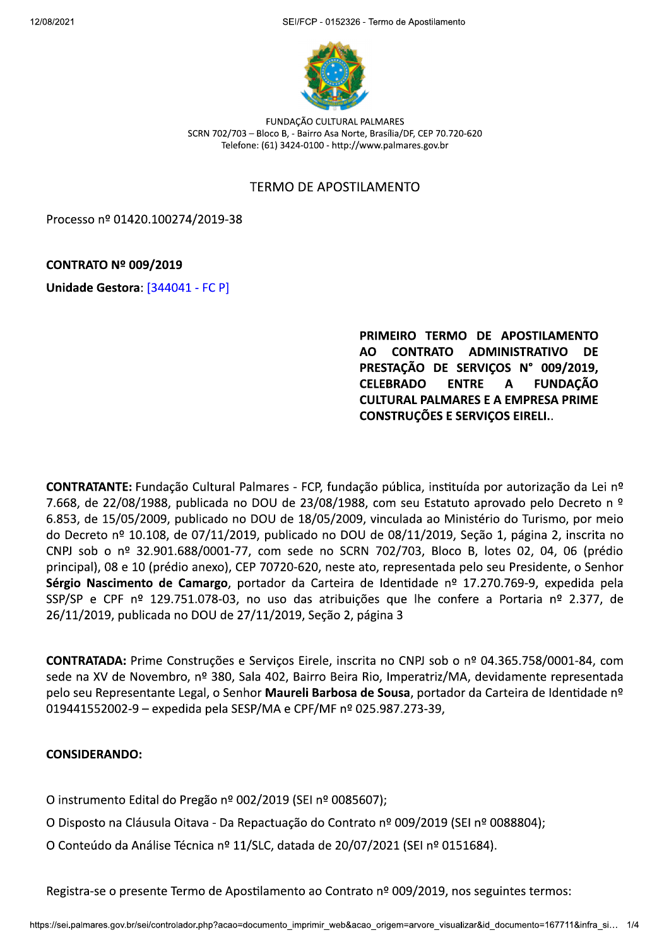SEI/FCP - 0152326 - Termo de Apostilamento



FUNDAÇÃO CULTURAL PALMARES SCRN 702/703 - Bloco B, - Bairro Asa Norte, Brasília/DF, CEP 70.720-620 Telefone: (61) 3424-0100 - http://www.palmares.gov.br

### **TERMO DE APOSTILAMENTO**

Processo nº 01420.100274/2019-38

# **CONTRATO Nº 009/2019**

Unidade Gestora: [344041 - FC P]

PRIMEIRO TERMO DE APOSTILAMENTO AO CONTRATO ADMINISTRATIVO **DE** PRESTAÇÃO DE SERVIÇOS Nº 009/2019, **CELEBRADO ENTRE FUNDAÇÃO** A **CULTURAL PALMARES E A EMPRESA PRIME CONSTRUÇÕES E SERVICOS EIRELI..** 

CONTRATANTE: Fundação Cultural Palmares - FCP, fundação pública, instituída por autorização da Lei nº 7.668, de 22/08/1988, publicada no DOU de 23/08/1988, com seu Estatuto aprovado pelo Decreto n º 6.853, de 15/05/2009, publicado no DOU de 18/05/2009, vinculada ao Ministério do Turismo, por meio do Decreto nº 10.108, de 07/11/2019, publicado no DOU de 08/11/2019, Seção 1, página 2, inscrita no CNPJ sob o nº 32.901.688/0001-77, com sede no SCRN 702/703, Bloco B, lotes 02, 04, 06 (prédio principal), 08 e 10 (prédio anexo), CEP 70720-620, neste ato, representada pelo seu Presidente, o Senhor Sérgio Nascimento de Camargo, portador da Carteira de Identidade nº 17.270.769-9, expedida pela SSP/SP e CPF nº 129.751.078-03, no uso das atribuições que lhe confere a Portaria nº 2.377, de 26/11/2019, publicada no DOU de 27/11/2019, Seção 2, página 3

CONTRATADA: Prime Construções e Serviços Eirele, inscrita no CNPJ sob o nº 04.365.758/0001-84, com sede na XV de Novembro, nº 380, Sala 402, Bairro Beira Rio, Imperatriz/MA, devidamente representada pelo seu Representante Legal, o Senhor Maureli Barbosa de Sousa, portador da Carteira de Identidade nº 019441552002-9 - expedida pela SESP/MA e CPF/MF nº 025.987.273-39,

#### **CONSIDERANDO:**

- O instrumento Edital do Pregão nº 002/2019 (SEI nº 0085607);
- O Disposto na Cláusula Oitava Da Repactuação do Contrato nº 009/2019 (SEI nº 0088804);
- O Conteúdo da Análise Técnica nº 11/SLC, datada de 20/07/2021 (SEI nº 0151684).

Registra-se o presente Termo de Apostilamento ao Contrato nº 009/2019, nos seguintes termos: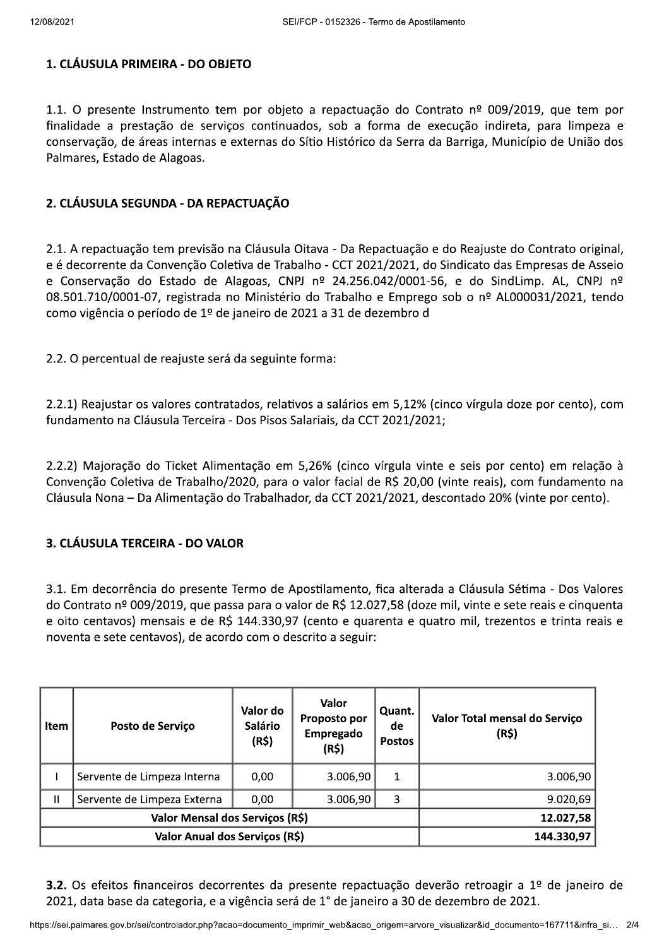# 1. CLÁUSULA PRIMEIRA - DO OBJETO

1.1. O presente Instrumento tem por objeto a repactuação do Contrato nº 009/2019, que tem por finalidade a prestação de serviços continuados, sob a forma de execução indireta, para limpeza e conservação, de áreas internas e externas do Sítio Histórico da Serra da Barriga, Município de União dos Palmares, Estado de Alagoas.

# 2. CLÁUSULA SEGUNDA - DA REPACTUAÇÃO

2.1. A repactuação tem previsão na Cláusula Oitava - Da Repactuação e do Reajuste do Contrato original, e é decorrente da Convenção Coletiva de Trabalho - CCT 2021/2021, do Sindicato das Empresas de Asseio e Conservação do Estado de Alagoas, CNPJ nº 24.256.042/0001-56, e do SindLimp. AL, CNPJ nº 08.501.710/0001-07, registrada no Ministério do Trabalho e Emprego sob o nº AL000031/2021, tendo como vigência o período de 1º de janeiro de 2021 a 31 de dezembro d

2.2. O percentual de reajuste será da seguinte forma:

2.2.1) Reajustar os valores contratados, relativos a salários em 5,12% (cinco vírgula doze por cento), com fundamento na Cláusula Terceira - Dos Pisos Salariais, da CCT 2021/2021;

2.2.2) Majoração do Ticket Alimentação em 5,26% (cinco vírgula vinte e seis por cento) em relação à Convenção Coletiva de Trabalho/2020, para o valor facial de R\$ 20,00 (vinte reais), com fundamento na Cláusula Nona - Da Alimentação do Trabalhador, da CCT 2021/2021, descontado 20% (vinte por cento).

#### 3. CLÁUSULA TERCEIRA - DO VALOR

3.1. Em decorrência do presente Termo de Apostilamento, fica alterada a Cláusula Sétima - Dos Valores do Contrato nº 009/2019, que passa para o valor de R\$ 12.027,58 (doze mil, vinte e sete reais e cinquenta e oito centavos) mensais e de R\$ 144.330,97 (cento e quarenta e quatro mil, trezentos e trinta reais e noventa e sete centavos), de acordo com o descrito a seguir:

| <b>Item</b>                     | Posto de Serviço            | Valor do<br><b>Salário</b><br>(R\$) | Valor<br>Proposto por<br>Empregado<br>(R5) | Quant.<br>de<br><b>Postos</b> | Valor Total mensal do Serviço<br>(R\$) |
|---------------------------------|-----------------------------|-------------------------------------|--------------------------------------------|-------------------------------|----------------------------------------|
|                                 | Servente de Limpeza Interna | 0,00                                | 3.006,90                                   | 1                             | 3.006,90                               |
| Ш                               | Servente de Limpeza Externa | 0.00                                | 3.006,90                                   | 3                             | 9.020,69                               |
| Valor Mensal dos Serviços (R\$) |                             |                                     |                                            |                               | 12.027,58                              |
| Valor Anual dos Serviços (R\$)  |                             |                                     |                                            |                               | 144.330,97                             |

3.2. Os efeitos financeiros decorrentes da presente repactuação deverão retroagir a 1º de janeiro de 2021, data base da categoria, e a vigência será de 1° de janeiro a 30 de dezembro de 2021.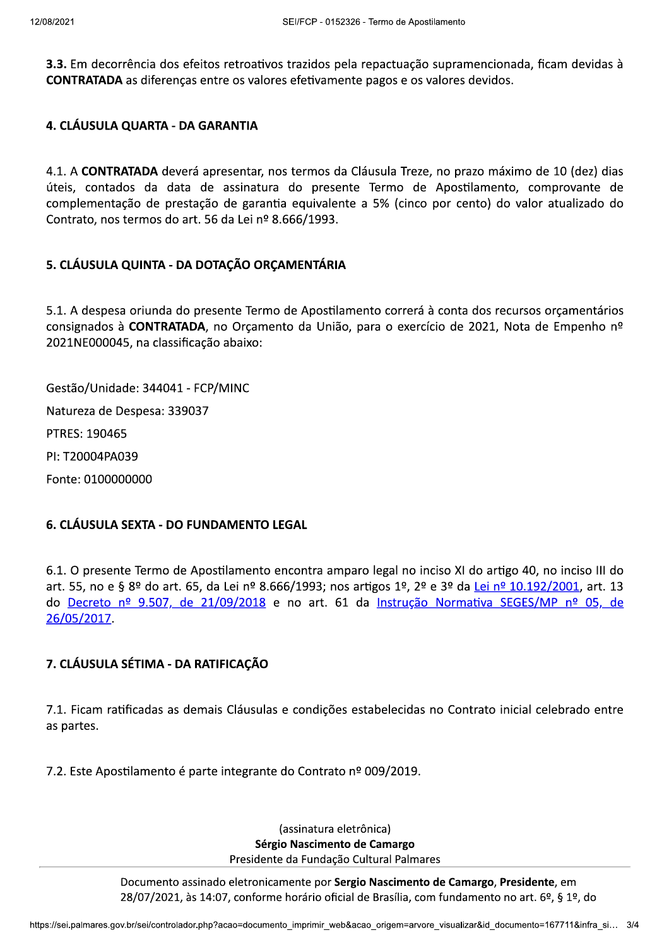3.3. Em decorrência dos efeitos retroativos trazidos pela repactuação supramencionada, ficam devidas à **CONTRATADA** as diferenças entre os valores efetivamente pagos e os valores devidos.

### 4. CLÁUSULA QUARTA - DA GARANTIA

4.1. A CONTRATADA deverá apresentar, nos termos da Cláusula Treze, no prazo máximo de 10 (dez) dias úteis, contados da data de assinatura do presente Termo de Apostilamento, comprovante de complementação de prestação de garantia equivalente a 5% (cinco por cento) do valor atualizado do Contrato, nos termos do art. 56 da Lei nº 8.666/1993.

# 5. CLÁUSULA QUINTA - DA DOTAÇÃO ORÇAMENTÁRIA

5.1. A despesa oriunda do presente Termo de Apostilamento correrá à conta dos recursos orçamentários consignados à CONTRATADA, no Orçamento da União, para o exercício de 2021, Nota de Empenho nº 2021NE000045, na classificação abaixo:

Gestão/Unidade: 344041 - FCP/MINC Natureza de Despesa: 339037 PTRES: 190465 PI: T20004PA039 Fonte: 0100000000

#### 6. CLÁUSULA SEXTA - DO FUNDAMENTO LEGAL

6.1. O presente Termo de Apostilamento encontra amparo legal no inciso XI do artigo 40, no inciso III do art. 55, no e § 8º do art. 65, da Lei nº 8.666/1993; nos artigos 1º, 2º e 3º da Lei nº 10.192/2001, art. 13 do Decreto nº 9.507, de 21/09/2018 e no art. 61 da Instrução Normativa SEGES/MP nº 05, de 26/05/2017.

# 7. CLÁUSULA SÉTIMA - DA RATIFICAÇÃO

7.1. Ficam ratificadas as demais Cláusulas e condições estabelecidas no Contrato inicial celebrado entre as partes.

7.2. Este Apostilamento é parte integrante do Contrato nº 009/2019.

(assinatura eletrônica) Sérgio Nascimento de Camargo Presidente da Fundação Cultural Palmares

Documento assinado eletronicamente por Sergio Nascimento de Camargo, Presidente, em 28/07/2021, às 14:07, conforme horário oficial de Brasília, com fundamento no art. 6º, § 1º, do